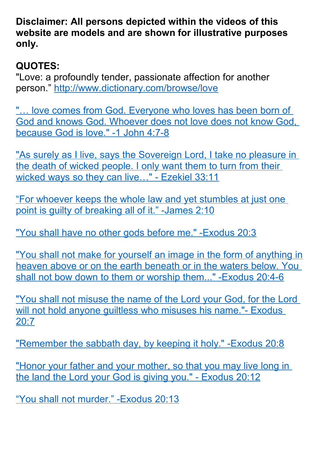**Disclaimer: All persons depicted within the videos of this website are models and are shown for illustrative purposes only.**

## **QUOTES:**

"Love: a profoundly tender, passionate affection for another person."<http://www.dictionary.com/browse/love>

"... love comes from God. Everyone who loves has been born of [God and knows God. Whoever does not love does not know God,](https://www.biblegateway.com/passage/?search=1+John+4%3A7-8&version=NIV)  [because God is love." -1 John 4:7-8](https://www.biblegateway.com/passage/?search=1+John+4%3A7-8&version=NIV)

["As surely as I live, says the Sovereign Lord, I take no pleasure in](https://www.biblegateway.com/passage/?search=Ezekiel+33%3A11&version=NLT)  [the death of wicked people. I only want them to turn from their](https://www.biblegateway.com/passage/?search=Ezekiel+33%3A11&version=NLT)  [wicked ways so they can live…" - Ezekiel 33:11](https://www.biblegateway.com/passage/?search=Ezekiel+33%3A11&version=NLT)

["For whoever keeps the whole law and yet stumbles at just one](https://www.biblegateway.com/passage/?search=James+2%3A10&version=NIV)  [point is guilty of breaking all of it." -James 2:10](https://www.biblegateway.com/passage/?search=James+2%3A10&version=NIV)

["You shall have no other gods before me." -Exodus 20:3](https://www.biblegateway.com/passage/?search=Exodus%2020:3)

["You shall not make for yourself an image in the form of anything in](https://www.biblegateway.com/passage/?search=Exodus%2020:4-6) [heaven above or on the earth beneath or in the waters below. You](https://www.biblegateway.com/passage/?search=Exodus%2020:4-6)  [shall not bow down to them or worship them..." -Exodus 20:4-6](https://www.biblegateway.com/passage/?search=Exodus%2020:4-6)

["You shall not misuse the name of the Lord your God, for the Lord](https://www.biblegateway.com/passage/?search=Exodus+20%3A7&version=NIV)  will not hold anyone quiltless who misuses his name."- Exodus [20:7](https://www.biblegateway.com/passage/?search=Exodus+20%3A7&version=NIV)

"Remember the sabbath day, by keeping it holy." - Exodus 20:8

"Honor your father and your mother, so that you may live long in [the land the Lord your God is giving you." - Exodus 20:12](https://www.biblegateway.com/passage/?search=Exodus+20%3A12&version=NIV)

["You shall not murder." -Exodus 20:13](https://www.biblegateway.com/passage/?search=Exodus+20%3A13&version=NIV)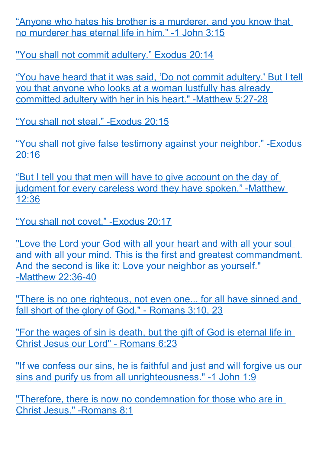["Anyone who hates his brother is a murderer, and you know that](https://www.biblegateway.com/passage/?search=1+John+3%3A15&version=NIV)  [no murderer has eternal life in him." -1 John 3:15](https://www.biblegateway.com/passage/?search=1+John+3%3A15&version=NIV)

["You shall not commit adultery." Exodus 20:14](https://www.biblegateway.com/passage/?search=Exodus+20%3A14+&version=NIV)

["You have heard that it was said, 'Do not commit adultery.' But I tell](https://www.biblegateway.com/passage/?search=Matthew+5%3A27-28&version=NIV) [you that anyone who looks at a woman lustfully has already](https://www.biblegateway.com/passage/?search=Matthew+5%3A27-28&version=NIV)  [committed adultery with her in his heart." -Matthew 5:27-28](https://www.biblegateway.com/passage/?search=Matthew+5%3A27-28&version=NIV)

["You shall not steal." -Exodus 20:15](https://www.biblegateway.com/passage/?search=Exodus+20%3A15&version=NIV)

["You shall not give false testimony against your neighbor." -Exodus](https://www.biblegateway.com/passage/?search=Exodus+20%3A16++&version=NIV) [20:16](https://www.biblegateway.com/passage/?search=Exodus+20%3A16++&version=NIV) 

["But I tell you that men will have to give account on the day of](https://www.biblegateway.com/passage/?search=Matthew+12%3A36&version=NIV)  [judgment for every careless word they have spoken." -Matthew](https://www.biblegateway.com/passage/?search=Matthew+12%3A36&version=NIV)  [12:36](https://www.biblegateway.com/passage/?search=Matthew+12%3A36&version=NIV)

["You shall not covet." -Exodus 20:17](https://www.biblegateway.com/passage/?search=Exodus+20%3A17&version=NIV)

"Love the Lord your God with all your heart and with all your soul [and with all your mind. This is the first and greatest commandment.](https://www.biblegateway.com/passage/?search=Matthew+22%3A36-40&version=NIV) And the second is like it: Love your neighbor as yourself." [-Matthew 22:36-40](https://www.biblegateway.com/passage/?search=Matthew+22%3A36-40&version=NIV)

["There is no one righteous, not even one... for all have sinned and](https://www.biblegateway.com/passage/?search=Romans+3%3A10%2C+23&version=NIV)  [fall short of the glory of God." - Romans 3:10, 23](https://www.biblegateway.com/passage/?search=Romans+3%3A10%2C+23&version=NIV)

"For the wages of sin is death, but the gift of God is eternal life in [Christ Jesus our Lord" - Romans 6:23](https://www.biblegateway.com/passage/?search=Romans+6%3A23&version=NIV)

["If we confess our sins, he is faithful and just and will forgive us our](https://www.biblegateway.com/passage/?search=1+John+1%3A9&version=NIV) [sins and purify us from all unrighteousness." -1 John 1:9](https://www.biblegateway.com/passage/?search=1+John+1%3A9&version=NIV)

["Therefore, there is now no condemnation for those who are in](https://www.biblegateway.com/passage/?search=Romans+8%3A1&version=NIV)  [Christ Jesus." -Romans 8:1](https://www.biblegateway.com/passage/?search=Romans+8%3A1&version=NIV)